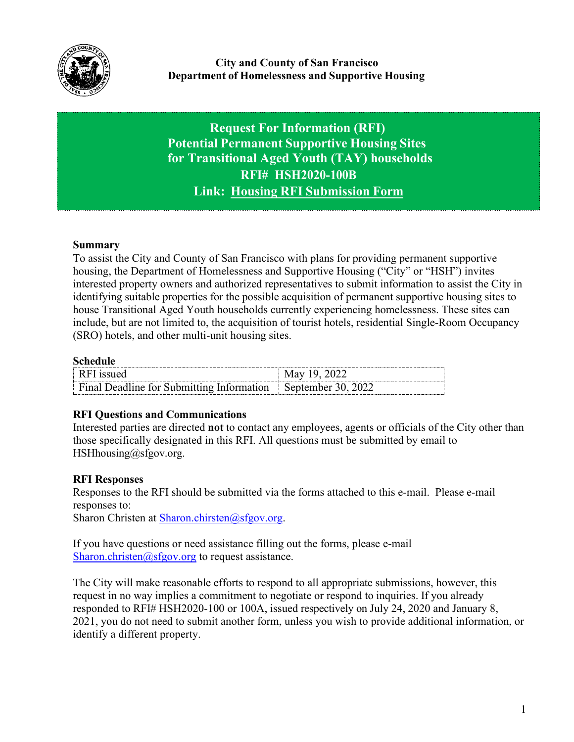

**Request For Information (RFI) Potential Permanent Supportive Housing Sites for Transitional Aged Youth (TAY) households RFI# HSH2020-100B Link: Housing RFI [Submission](https://hsh.sfgov.org/rfi100appb) Form**

# **Summary**

To assist the City and County of San Francisco with plans for providing permanent supportive housing, the Department of Homelessness and Supportive Housing ("City" or "HSH") invites interested property owners and authorized representatives to submit information to assist the City in identifying suitable properties for the possible acquisition of permanent supportive housing sites to house Transitional Aged Youth households currently experiencing homelessness. These sites can include, but are not limited to, the acquisition of tourist hotels, residential Single-Room Occupancy (SRO) hotels, and other multi-unit housing sites.

#### **Schedule**

| ----------                                        |           |
|---------------------------------------------------|-----------|
|                                                   | u<br>     |
| Jeadline for Submitting F<br>Hinal<br>Intormation | Nentember |

#### **RFI Questions and Communications**

Interested parties are directed **not** to contact any employees, agents or officials of the City other than those specifically designated in this RFI. All questions must be submitted by email to [HSHhousing@sfgov.org.](mailto:HSHhousing@sfgov.org)

#### **RFI Responses**

Responses to the RFI should be submitted via the forms attached to this e-mail. Please e-mail responses to:

Sharon Christen at [Sharon.chirsten@sfgov.org.](mailto:Sharon.chirsten@sfgov.org)

If you have questions or need assistance filling out the forms, please e-mail [Sharon.christen@sfgov.org](mailto:Sharon.christen@sfgov.org) to request assistance.

The City will make reasonable efforts to respond to all appropriate submissions, however, this request in no way implies a commitment to negotiate or respond to inquiries. If you already responded to RFI# HSH2020-100 or 100A, issued respectively on July 24, 2020 and January 8, 2021, you do not need to submit another form, unless you wish to provide additional information, or identify a different property.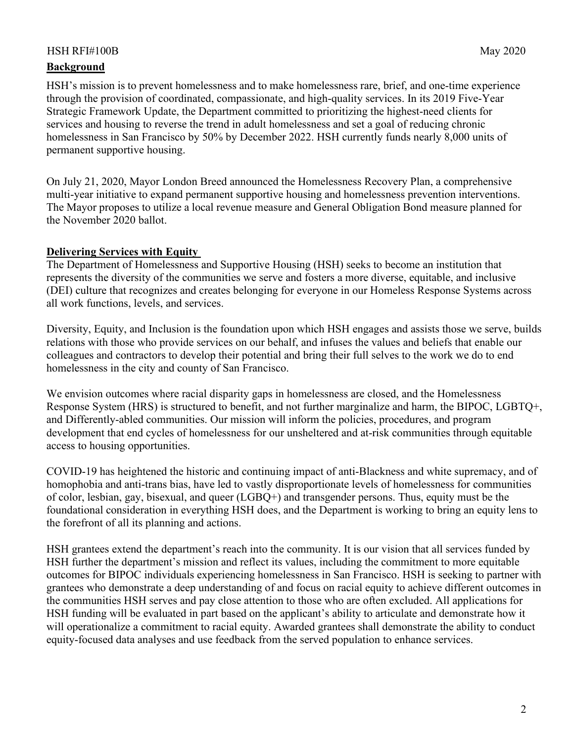## HSH RFI#100B May 2020

## **Background**

HSH's mission is to prevent homelessness and to make homelessness rare, brief, and one-time experience through the provision of coordinated, compassionate, and high-quality services. In its 2019 Five-Year Strategic Framework Update, the Department committed to prioritizing the highest-need clients for services and housing to reverse the trend in adult homelessness and set a goal of reducing chronic homelessness in San Francisco by 50% by December 2022. HSH currently funds nearly 8,000 units of permanent supportive housing.

On July 21, 2020, Mayor London Breed announced the Homelessness Recovery Plan, a comprehensive multi-year initiative to expand permanent supportive housing and homelessness prevention interventions. The Mayor proposes to utilize a local revenue measure and General Obligation Bond measure planned for the November 2020 ballot.

#### **Delivering Services with Equity**

The Department of Homelessness and Supportive Housing (HSH) seeks to become an institution that represents the diversity of the communities we serve and fosters a more diverse, equitable, and inclusive (DEI) culture that recognizes and creates belonging for everyone in our Homeless Response Systems across all work functions, levels, and services.

Diversity, Equity, and Inclusion is the foundation upon which HSH engages and assists those we serve, builds relations with those who provide services on our behalf, and infuses the values and beliefs that enable our colleagues and contractors to develop their potential and bring their full selves to the work we do to end homelessness in the city and county of San Francisco.

We envision outcomes where racial disparity gaps in homelessness are closed, and the Homelessness Response System (HRS) is structured to benefit, and not further marginalize and harm, the BIPOC, LGBTQ+, and Differently-abled communities. Our mission will inform the policies, procedures, and program development that end cycles of homelessness for our unsheltered and at-risk communities through equitable access to housing opportunities.

COVID-19 has heightened the historic and continuing impact of anti-Blackness and white supremacy, and of homophobia and anti-trans bias, have led to vastly disproportionate levels of homelessness for communities of color, lesbian, gay, bisexual, and queer (LGBQ+) and transgender persons. Thus, equity must be the foundational consideration in everything HSH does, and the Department is working to bring an equity lens to the forefront of all its planning and actions.

HSH grantees extend the department's reach into the community. It is our vision that all services funded by HSH further the department's mission and reflect its values, including the commitment to more equitable outcomes for BIPOC individuals experiencing homelessness in San Francisco. HSH is seeking to partner with grantees who demonstrate a deep understanding of and focus on racial equity to achieve different outcomes in the communities HSH serves and pay close attention to those who are often excluded. All applications for HSH funding will be evaluated in part based on the applicant's ability to articulate and demonstrate how it will operationalize a commitment to racial equity. Awarded grantees shall demonstrate the ability to conduct equity-focused data analyses and use feedback from the served population to enhance services.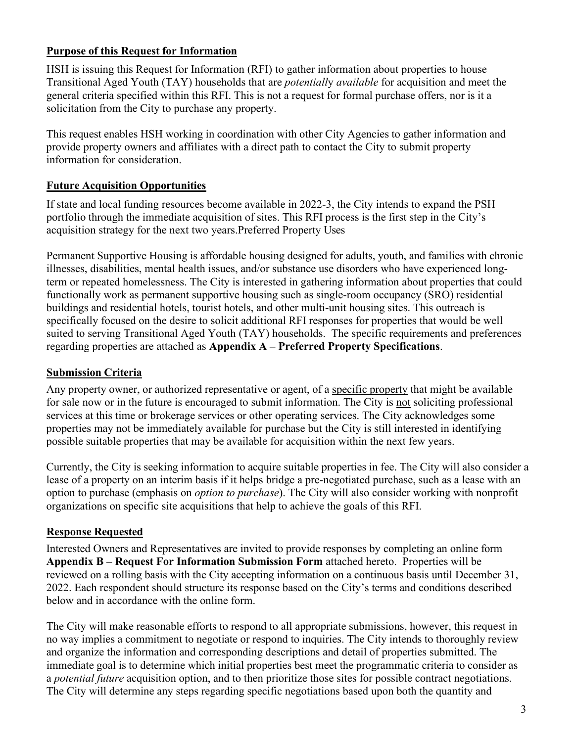## **Purpose of this Request for Information**

HSH is issuing this Request for Information (RFI) to gather information about properties to house Transitional Aged Youth (TAY) households that are *potentiall*y *available* for acquisition and meet the general criteria specified within this RFI. This is not a request for formal purchase offers, nor is it a solicitation from the City to purchase any property.

This request enables HSH working in coordination with other City Agencies to gather information and provide property owners and affiliates with a direct path to contact the City to submit property information for consideration.

# **Future Acquisition Opportunities**

If state and local funding resources become available in 2022-3, the City intends to expand the PSH portfolio through the immediate acquisition of sites. This RFI process is the first step in the City's acquisition strategy for the next two years.Preferred Property Uses

Permanent Supportive Housing is affordable housing designed for adults, youth, and families with chronic illnesses, disabilities, mental health issues, and/or substance use disorders who have experienced longterm or repeated homelessness. The City is interested in gathering information about properties that could functionally work as permanent supportive housing such as single-room occupancy (SRO) residential buildings and residential hotels, tourist hotels, and other multi-unit housing sites. This outreach is specifically focused on the desire to solicit additional RFI responses for properties that would be well suited to serving Transitional Aged Youth (TAY) households. The specific requirements and preferences regarding properties are attached as **Appendix A – Preferred Property Specifications**.

# **Submission Criteria**

Any property owner, or authorized representative or agent, of a specific property that might be available for sale now or in the future is encouraged to submit information. The City is not soliciting professional services at this time or brokerage services or other operating services. The City acknowledges some properties may not be immediately available for purchase but the City is still interested in identifying possible suitable properties that may be available for acquisition within the next few years.

Currently, the City is seeking information to acquire suitable properties in fee. The City will also consider a lease of a property on an interim basis if it helps bridge a pre-negotiated purchase, such as a lease with an option to purchase (emphasis on *option to purchase*). The City will also consider working with nonprofit organizations on specific site acquisitions that help to achieve the goals of this RFI.

# **Response Requested**

Interested Owners and Representatives are invited to provide responses by completing an online form **Appendix B – Request For Information Submission Form** attached hereto. Properties will be reviewed on a rolling basis with the City accepting information on a continuous basis until December 31, 2022. Each respondent should structure its response based on the City's terms and conditions described below and in accordance with the online form.

The City will make reasonable efforts to respond to all appropriate submissions, however, this request in no way implies a commitment to negotiate or respond to inquiries. The City intends to thoroughly review and organize the information and corresponding descriptions and detail of properties submitted. The immediate goal is to determine which initial properties best meet the programmatic criteria to consider as a *potential future* acquisition option, and to then prioritize those sites for possible contract negotiations. The City will determine any steps regarding specific negotiations based upon both the quantity and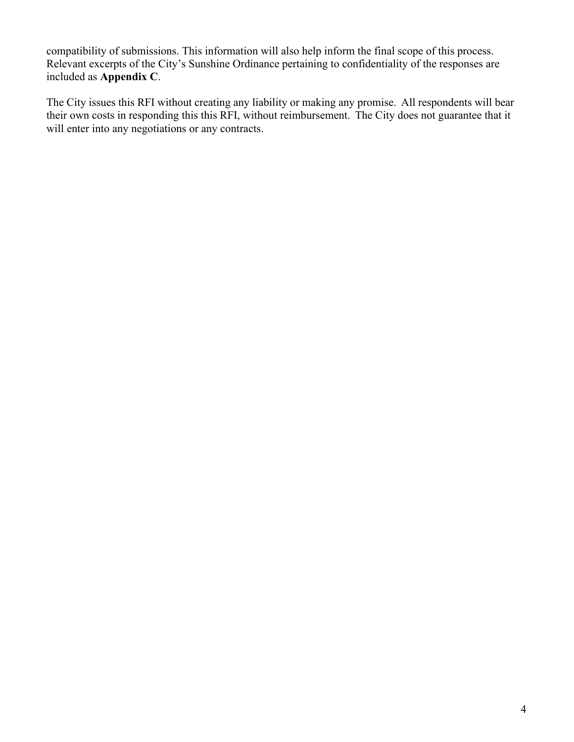compatibility of submissions. This information will also help inform the final scope of this process. Relevant excerpts of the City's Sunshine Ordinance pertaining to confidentiality of the responses are included as **Appendix C**.

The City issues this RFI without creating any liability or making any promise. All respondents will bear their own costs in responding this this RFI, without reimbursement. The City does not guarantee that it will enter into any negotiations or any contracts.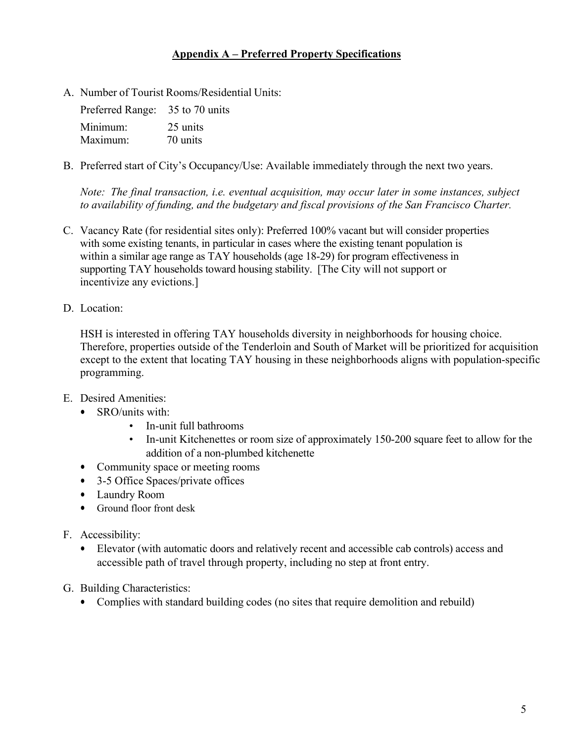## **Appendix A – Preferred Property Specifications**

A. Number of Tourist Rooms/Residential Units:

| Preferred Range: 35 to 70 units |          |
|---------------------------------|----------|
| Minimum:                        | 25 units |
| Maximum:                        | 70 units |

B. Preferred start of City's Occupancy/Use: Available immediately through the next two years.

*Note: The final transaction, i.e. eventual acquisition, may occur later in some instances, subject to availability of funding, and the budgetary and fiscal provisions of the San Francisco Charter.* 

- C. Vacancy Rate (for residential sites only): Preferred 100% vacant but will consider properties with some existing tenants, in particular in cases where the existing tenant population is within a similar age range as TAY households (age 18-29) for program effectiveness in supporting TAY households toward housing stability. [The City will not support or incentivize any evictions.]
- D. Location:

HSH is interested in offering TAY households diversity in neighborhoods for housing choice. Therefore, properties outside of the Tenderloin and South of Market will be prioritized for acquisition except to the extent that locating TAY housing in these neighborhoods aligns with population-specific programming.

- E. Desired Amenities:
	- SRO/units with:
		- In-unit full bathrooms
		- In-unit Kitchenettes or room size of approximately 150-200 square feet to allow for the addition of a non-plumbed kitchenette
	- Community space or meeting rooms
	- 3-5 Office Spaces/private offices
	- Laundry Room
	- Ground floor front desk
- F. Accessibility:
	- Elevator (with automatic doors and relatively recent and accessible cab controls) access and accessible path of travel through property, including no step at front entry.
- G. Building Characteristics:
	- Complies with standard building codes (no sites that require demolition and rebuild)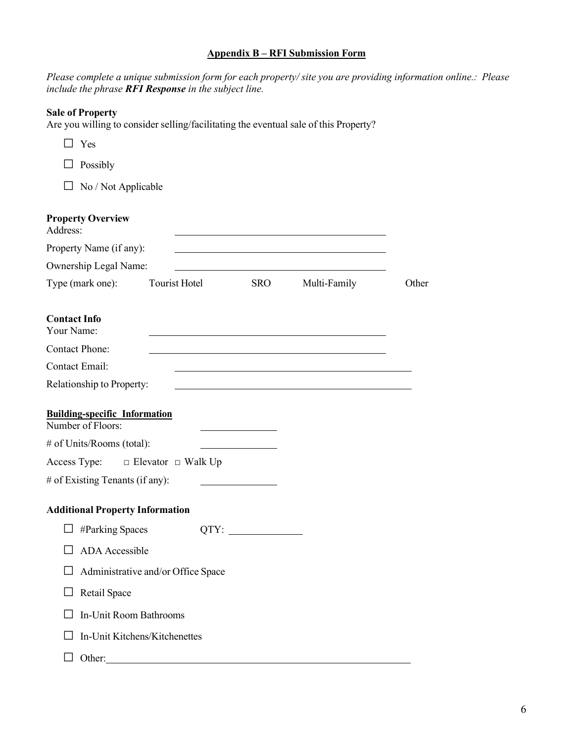### **Appendix B – RFI Submission Form**

*Please complete a unique submission form for each property/ site you are providing information online.: Please include the phrase RFI Response in the subject line.* 

| <b>Sale of Property</b>                                   | Are you willing to consider selling/facilitating the eventual sale of this Property? |     |                                                                                                                      |       |
|-----------------------------------------------------------|--------------------------------------------------------------------------------------|-----|----------------------------------------------------------------------------------------------------------------------|-------|
| $\Box$ Yes                                                |                                                                                      |     |                                                                                                                      |       |
| $\Box$ Possibly                                           |                                                                                      |     |                                                                                                                      |       |
| $\Box$ No / Not Applicable                                |                                                                                      |     |                                                                                                                      |       |
| <b>Property Overview</b><br>Address:                      |                                                                                      |     |                                                                                                                      |       |
| Property Name (if any):                                   |                                                                                      |     |                                                                                                                      |       |
| Ownership Legal Name:                                     |                                                                                      |     | <u> 1980 - Johann Barn, mars ann an t-Amhain Aonaich an t-Aonaich an t-Aonaich ann an t-Aonaich ann an t-Aonaich</u> |       |
| Type (mark one):                                          | Tourist Hotel                                                                        | SRO | Multi-Family                                                                                                         | Other |
| <b>Contact Info</b><br>Your Name:                         |                                                                                      |     |                                                                                                                      |       |
| <b>Contact Phone:</b>                                     |                                                                                      |     |                                                                                                                      |       |
| <b>Contact Email:</b>                                     |                                                                                      |     |                                                                                                                      |       |
| Relationship to Property:                                 |                                                                                      |     |                                                                                                                      |       |
| <b>Building-specific Information</b><br>Number of Floors: |                                                                                      |     |                                                                                                                      |       |
| # of Units/Rooms (total):                                 |                                                                                      |     |                                                                                                                      |       |
|                                                           | Access Type: $\square$ Elevator $\square$ Walk Up                                    |     |                                                                                                                      |       |
| # of Existing Tenants (if any):                           |                                                                                      |     |                                                                                                                      |       |
| <b>Additional Property Information</b>                    |                                                                                      |     |                                                                                                                      |       |
|                                                           |                                                                                      |     |                                                                                                                      |       |
| <b>ADA</b> Accessible                                     |                                                                                      |     |                                                                                                                      |       |
|                                                           | Administrative and/or Office Space                                                   |     |                                                                                                                      |       |
| Retail Space                                              |                                                                                      |     |                                                                                                                      |       |
| <b>In-Unit Room Bathrooms</b>                             |                                                                                      |     |                                                                                                                      |       |
|                                                           | In-Unit Kitchens/Kitchenettes                                                        |     |                                                                                                                      |       |
|                                                           | Other:                                                                               |     |                                                                                                                      |       |

6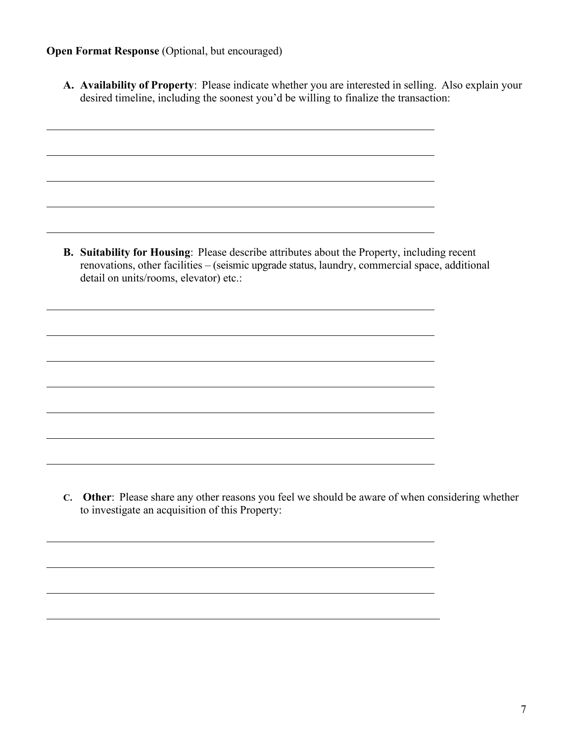## **Open Format Response** (Optional, but encouraged)

**A. Availability of Property**: Please indicate whether you are interested in selling. Also explain your desired timeline, including the soonest you'd be willing to finalize the transaction:

**B. Suitability for Housing**: Please describe attributes about the Property, including recent renovations, other facilities – (seismic upgrade status, laundry, commercial space, additional detail on units/rooms, elevator) etc.:

**C. Other**: Please share any other reasons you feel we should be aware of when considering whether to investigate an acquisition of this Property: